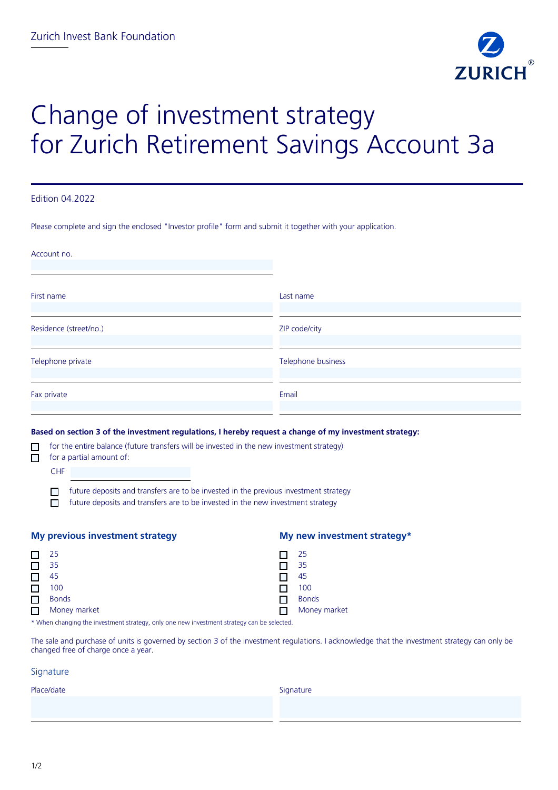

# Change of investment strategy for Zurich Retirement Savings Account 3a

### Edition 04.2022

Please complete and sign the enclosed "Investor profile" form and submit it together with your application.

| Account no.                                                                                                                                                                                                                                         |                    |
|-----------------------------------------------------------------------------------------------------------------------------------------------------------------------------------------------------------------------------------------------------|--------------------|
| First name                                                                                                                                                                                                                                          | Last name          |
| Residence (street/no.)                                                                                                                                                                                                                              | ZIP code/city      |
| Telephone private                                                                                                                                                                                                                                   | Telephone business |
| Fax private                                                                                                                                                                                                                                         | Email              |
| Based on section 3 of the investment regulations, I hereby request a change of my investment strategy:<br>for the entire balance (future transfers will be invested in the new investment strategy)<br>$\Box$<br>for a partial amount of:<br>$\Box$ |                    |

CHF future deposits and transfers are to be invested in the previous investment strategy П  $\Box$ 

future deposits and transfers are to be invested in the new investment strategy

| <b>My previous investment strategy</b> |                                                                                                        |  | My new investment strategy* |  |  |  |
|----------------------------------------|--------------------------------------------------------------------------------------------------------|--|-----------------------------|--|--|--|
|                                        | -25                                                                                                    |  | -25                         |  |  |  |
|                                        | 35                                                                                                     |  | 35                          |  |  |  |
|                                        | 45                                                                                                     |  | 45                          |  |  |  |
|                                        | 100                                                                                                    |  | 100                         |  |  |  |
|                                        | <b>Bonds</b>                                                                                           |  | <b>Bonds</b>                |  |  |  |
|                                        | Money market                                                                                           |  | Money market                |  |  |  |
|                                        | 4 AAAL oo dhaqaala qaba toobaas qab ahaal oo daalo qori qoro toobaas qab ahaal oo daga lagu ahaal qaba |  |                             |  |  |  |

\* When changing the investment strategy, only one new investment strategy can be selected.

The sale and purchase of units is governed by section 3 of the investment regulations. I acknowledge that the investment strategy can only be changed free of charge once a year.

### **Signature**

| Place/date | Signature |
|------------|-----------|
|            |           |
|            |           |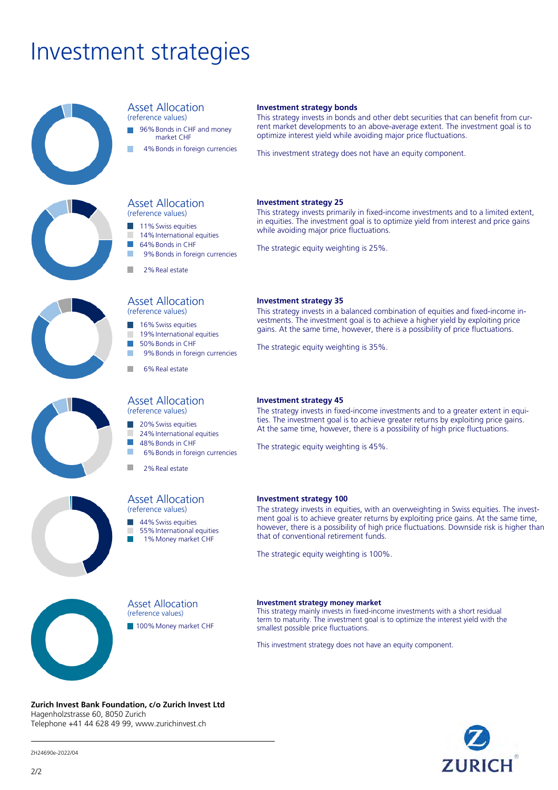# Investment strategies



#### Asset Allocation (reference values)

96%Bonds in CHF and money

Asset Allocation (reference values) 11% Swiss equities 14% International equities 64%Bonds in CHF

2%Real estate

m.

T. × п

× п

Asset Allocation (reference values) 16% Swiss equities 19% International equities 50%Bonds in CHF

6%Real estate

Asset Allocation (reference values) 20%Swiss equities 24% International equities 48%Bonds in CHF

- market CHF
- 4%Bonds in foreign currencies

9%Bonds in foreign currencies

9%Bonds in foreign currencies

6%Bonds in foreign currencies

### **Investment strategy bonds**

This strategy invests in bonds and other debt securities that can benefit from current market developments to an above-average extent. The investment goal is to optimize interest yield while avoiding major price fluctuations.

This investment strategy does not have an equity component.

### **Investment strategy 25**

This strategy invests primarily in fixed-income investments and to a limited extent, in equities. The investment goal is to optimize yield from interest and price gains while avoiding major price fluctuations.

The strategic equity weighting is 25%.





# Asset Allocation (reference values)

2%Real estate

44%Swiss equities

- 55%International equities
- 1% Money market CHF

**Investment strategy 35**

This strategy invests in a balanced combination of equities and fixed-income investments. The investment goal is to achieve a higher yield by exploiting price gains. At the same time, however, there is a possibility of price fluctuations.

The strategic equity weighting is 35%.

### **Investment strategy 45**

The strategy invests in fixed-income investments and to a greater extent in equities. The investment goal is to achieve greater returns by exploiting price gains. At the same time, however, there is a possibility of high price fluctuations.

The strategic equity weighting is 45%.

### **Investment strategy 100**

The strategy invests in equities, with an overweighting in Swiss equities. The investment goal is to achieve greater returns by exploiting price gains. At the same time, however, there is a possibility of high price fluctuations. Downside risk is higher than that of conventional retirement funds.

The strategic equity weighting is 100%.



Asset Allocation (reference values)

100% Money market CHF

#### **Investment strategy money market**

This strategy mainly invests in fixed-income investments with a short residual term to maturity. The investment goal is to optimize the interest yield with the smallest possible price fluctuations.

This investment strategy does not have an equity component.

### **Zurich Invest Bank Foundation, c/o Zurich Invest Ltd** Hagenholzstrasse 60, 8050 Zurich Telephone +41 44 628 49 99, www.zurichinvest.ch



ZH24690e-2022/04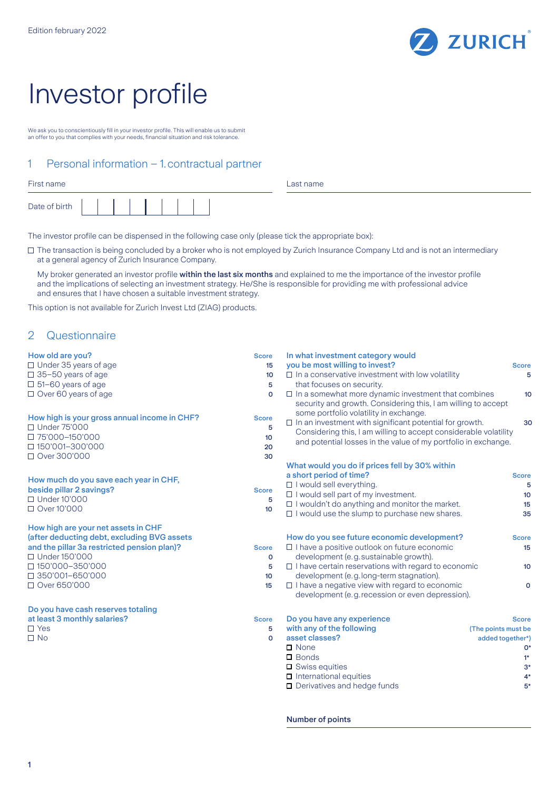

# Investor profile

We ask you to conscientiously fill in your investor profile. This will enable us to submit an offer to you that complies with your needs, financial situation and risk tolerance.

# 1 Personal information – 1.contractual partner

| First name    |  |  |  |  |  |
|---------------|--|--|--|--|--|
| Date of birth |  |  |  |  |  |

Last name

The investor profile can be dispensed in the following case only (please tick the appropriate box):

The transaction is being concluded by a broker who is not employed by Zurich Insurance Company Ltd and is not an intermediary at a general agency of Zurich Insurance Company.

My broker generated an investor profile within the last six months and explained to me the importance of the investor profile and the implications of selecting an investment strategy. He/She is responsible for providing me with professional advice and ensures that I have chosen a suitable investment strategy.

This option is not available for Zurich Invest Ltd (ZIAG) products.

# 2 Questionnaire

| How old are you?                             | <b>Score</b>     | In what investment category would                                                                                                                                     |                     |
|----------------------------------------------|------------------|-----------------------------------------------------------------------------------------------------------------------------------------------------------------------|---------------------|
| $\Box$ Under 35 years of age                 | 15 <sup>15</sup> | you be most willing to invest?                                                                                                                                        | <b>Score</b>        |
| $\Box$ 35-50 years of age                    | 10 <sup>10</sup> | $\Box$ In a conservative investment with low volatility                                                                                                               | 5                   |
| $\Box$ 51-60 years of age                    | 5                | that focuses on security.                                                                                                                                             |                     |
| $\Box$ Over 60 years of age                  | $\Omega$         | $\Box$ In a somewhat more dynamic investment that combines<br>security and growth. Considering this, I am willing to accept<br>some portfolio volatility in exchange. | 10 <sup>°</sup>     |
| How high is your gross annual income in CHF? | <b>Score</b>     | $\Box$ In an investment with significant potential for growth.                                                                                                        | 30                  |
| □ Under 75'000                               | 5                | Considering this, I am willing to accept considerable volatility                                                                                                      |                     |
| □ 75'000-150'000                             | 10               | and potential losses in the value of my portfolio in exchange.                                                                                                        |                     |
| □ 150'001-300'000                            | 20               |                                                                                                                                                                       |                     |
| □ Over 300'000                               | 30               |                                                                                                                                                                       |                     |
|                                              |                  | What would you do if prices fell by 30% within                                                                                                                        |                     |
| How much do you save each year in CHF,       |                  | a short period of time?                                                                                                                                               | <b>Score</b>        |
| beside pillar 2 savings?                     | <b>Score</b>     | □ I would sell everything.                                                                                                                                            | 5                   |
| □ Under 10'000                               | 5                | $\Box$ I would sell part of my investment.                                                                                                                            | 10                  |
| □ Over 10'000                                | 10               | $\Box$ I wouldn't do anything and monitor the market.                                                                                                                 | 15                  |
|                                              |                  | □ I would use the slump to purchase new shares.                                                                                                                       | 35                  |
| How high are your net assets in CHF          |                  |                                                                                                                                                                       |                     |
| (after deducting debt, excluding BVG assets  |                  | How do you see future economic development?                                                                                                                           | <b>Score</b>        |
| and the pillar 3a restricted pension plan)?  | <b>Score</b>     | $\Box$ I have a positive outlook on future economic                                                                                                                   | 15                  |
| □ Under 150'000                              | $\mathbf 0$      | development (e.g. sustainable growth).                                                                                                                                |                     |
| □ 150'000-350'000                            | 5                | $\Box$ I have certain reservations with regard to economic                                                                                                            | 10 <sup>°</sup>     |
| $\Box$ 350'001-650'000                       | 10               | development (e.g. long-term stagnation).                                                                                                                              |                     |
| □ Over 650'000                               | 15               | $\Box$ I have a negative view with regard to economic                                                                                                                 | $\circ$             |
|                                              |                  | development (e.g. recession or even depression).                                                                                                                      |                     |
| Do you have cash reserves totaling           |                  |                                                                                                                                                                       |                     |
| at least 3 monthly salaries?                 | <b>Score</b>     | Do you have any experience                                                                                                                                            | <b>Score</b>        |
| $\Box$ Yes                                   | 5                | with any of the following                                                                                                                                             | (The points must be |
| $\Box$ No                                    | $\Omega$         | asset classes?                                                                                                                                                        | added together*)    |
|                                              |                  | $\Box$ None                                                                                                                                                           | 0*                  |
|                                              |                  | $\Box$ Bonds                                                                                                                                                          | $1*$                |
|                                              |                  | $\Box$ Swiss equities                                                                                                                                                 | $3*$                |
|                                              |                  | $\Box$ International equities                                                                                                                                         | $4*$                |
|                                              |                  | $\Box$ Derivatives and hedge funds                                                                                                                                    | $5*$                |
|                                              |                  |                                                                                                                                                                       |                     |

Number of points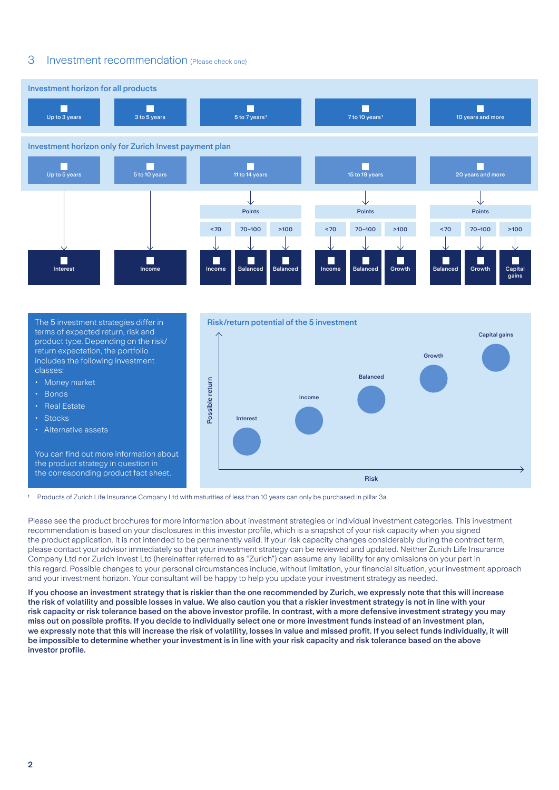## 3 Investment recommendation (Please check one)



The 5 investment strategies differ in terms of expected return, risk and product type. Depending on the risk/ return expectation, the portfolio includes the following investment classes:

- Money market
- Bonds
- **Real Estate**
- Stocks
- Alternative assets

You can find out more information about the product strategy in question in the corresponding product fact sheet.



<sup>1</sup> Products of Zurich Life Insurance Company Ltd with maturities of less than 10 years can only be purchased in pillar 3a.

Please see the product brochures for more information about investment strategies or individual investment categories. This investment recommendation is based on your disclosures in this investor profile, which is a snapshot of your risk capacity when you signed the product application. It is not intended to be permanently valid. If your risk capacity changes considerably during the contract term, please contact your advisor immediately so that your investment strategy can be reviewed and updated. Neither Zurich Life Insurance Company Ltd nor Zurich Invest Ltd (hereinafter referred to as "Zurich") can assume any liability for any omissions on your part in this regard. Possible changes to your personal circumstances include, without limitation, your financial situation, your investment approach and your investment horizon. Your consultant will be happy to help you update your investment strategy as needed.

If you choose an investment strategy that is riskier than the one recommended by Zurich, we expressly note that this will increase the risk of volatility and possible losses in value. We also caution you that a riskier investment strategy is not in line with your risk capacity or risk tolerance based on the above investor profile. In contrast, with a more defensive investment strategy you may miss out on possible profits. If you decide to individually select one or more investment funds instead of an investment plan, we expressly note that this will increase the risk of volatility, losses in value and missed profit. If you select funds individually, it will be impossible to determine whether your investment is in line with your risk capacity and risk tolerance based on the above investor profile.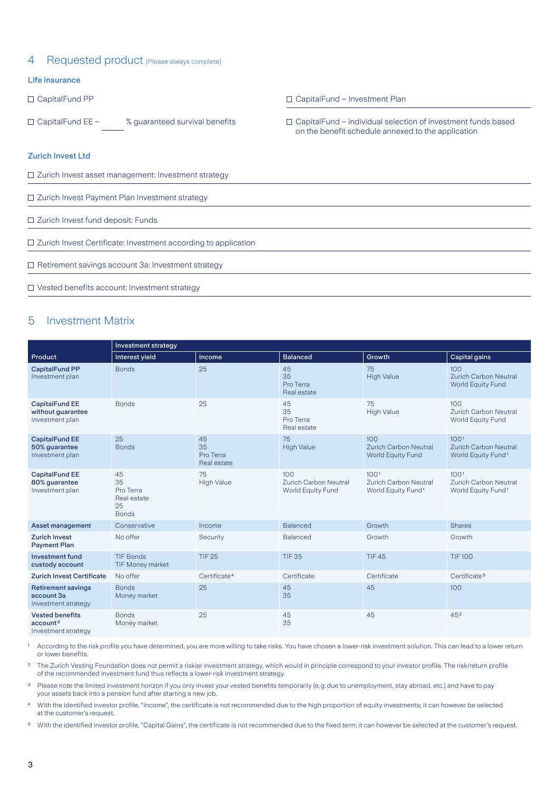## 4 Requested product (Please always complete)

### Life insurance

### Zurich Invest Ltd

□ Zurich Invest asset management: Investment strategy

□ Zurich Invest Payment Plan Investment strategy

□ Zurich Invest fund deposit: Funds

□ Zurich Invest Certificate: Investment according to application

□ Retirement savings account 3a: Investment strategy

□ Vested benefits account: Investment strategy

## 5 Investment Matrix

|                                                                       | Investment strategy                                        |                                      |                                                                 |                                                                                    |                                                                                    |  |  |
|-----------------------------------------------------------------------|------------------------------------------------------------|--------------------------------------|-----------------------------------------------------------------|------------------------------------------------------------------------------------|------------------------------------------------------------------------------------|--|--|
| Product                                                               | Interest yield                                             | Income                               | <b>Balanced</b>                                                 | Growth                                                                             | <b>Capital gains</b>                                                               |  |  |
| <b>CapitalFund PP</b><br>Investment plan                              | <b>Bonds</b>                                               | 25                                   | 45<br>75<br>35<br><b>High Value</b><br>Pro Terra<br>Real estate |                                                                                    | 100<br><b>Zurich Carbon Neutral</b><br><b>World Equity Fund</b>                    |  |  |
| <b>CapitalFund EE</b><br>without guarantee<br>Investment plan         | <b>Bonds</b>                                               | 25                                   | 45<br>35<br>Pro Terra<br>Real estate                            | 75<br><b>High Value</b>                                                            | 100<br><b>Zurich Carbon Neutral</b><br><b>World Equity Fund</b>                    |  |  |
| <b>CapitalFund EE</b><br>50% guarantee<br>Investment plan             | 25<br><b>Bonds</b>                                         | 45<br>35<br>Pro Terra<br>Real estate | 75<br><b>High Value</b>                                         | 100<br><b>Zurich Carbon Neutral</b><br><b>World Equity Fund</b>                    | 100 <sup>1</sup><br><b>Zurich Carbon Neutral</b><br>World Equity Fund <sup>1</sup> |  |  |
| <b>CapitalFund EE</b><br>80% guarantee<br>Investment plan             | 45<br>35<br>Pro Terra<br>Real estate<br>25<br><b>Bonds</b> | 75<br><b>High Value</b>              | 100<br><b>Zurich Carbon Neutral</b><br><b>World Equity Fund</b> | 100 <sup>1</sup><br><b>Zurich Carbon Neutral</b><br>World Equity Fund <sup>1</sup> | 100 <sup>1</sup><br><b>Zurich Carbon Neutral</b><br>World Equity Fund <sup>1</sup> |  |  |
| <b>Asset management</b>                                               | Conservative                                               | Income                               | <b>Balanced</b>                                                 | Growth                                                                             | <b>Shares</b>                                                                      |  |  |
| <b>Zurich Invest</b><br><b>Payment Plan</b>                           | No offer                                                   | Security                             | <b>Balanced</b>                                                 | Growth                                                                             | Growth                                                                             |  |  |
| <b>Investment fund</b><br>custody account                             | <b>TIF Bonds</b><br><b>TIF Money market</b>                | <b>TIF 25</b>                        | <b>TIF35</b>                                                    | <b>TIF45</b>                                                                       | <b>TIF100</b>                                                                      |  |  |
| <b>Zurich Invest Certificate</b>                                      | No offer                                                   | Certificate <sup>4</sup>             | Certificate                                                     | Certificate                                                                        | Certificate <sup>5</sup>                                                           |  |  |
| <b>Retirement savings</b><br>account 3a<br>Investment strategy        | <b>Bonds</b><br>Money market                               | 25                                   | 45<br>35                                                        | 45                                                                                 | 100                                                                                |  |  |
| <b>Vested benefits</b><br>account <sup>3</sup><br>Investment strategy | <b>Bonds</b><br>Money market                               | 25                                   | 45<br>35                                                        | 45                                                                                 | 452                                                                                |  |  |

According to the risk profile you have determined, you are more willing to take risks. You have chosen a lower-risk investment solution. This can lead to a lower return or lower benefits.

<sup>2</sup> The Zurich Vesting Foundation does not permit a riskier investment strategy, which would in principle correspond to your investor profile. The risk/return profile of the recommended investment fund thus reflects a lower-risk investment strategy.

<sup>3</sup> Please note the limited investment horizon if you only invest your vested benefits temporarily (e.g.due to unemployment, stay abroad, etc.) and have to pay your assets back into a pension fund after starting a new job.

⁴ With the identified investor profile, "Income", the certificate is not recommended due to the high proportion of equity investments; it can however be selected at the customer's request.

⁵ With the identified investor profile, "Capital Gains", the certificate is not recommended due to the fixed term; it can however be selected at the customer's request.

- CapitalFund PP CapitalFund Investment Plan
- CapitalFund EE % guaranteed survival benefits CapitalFund individual selection of investment funds based on the benefit schedule annexed to the application